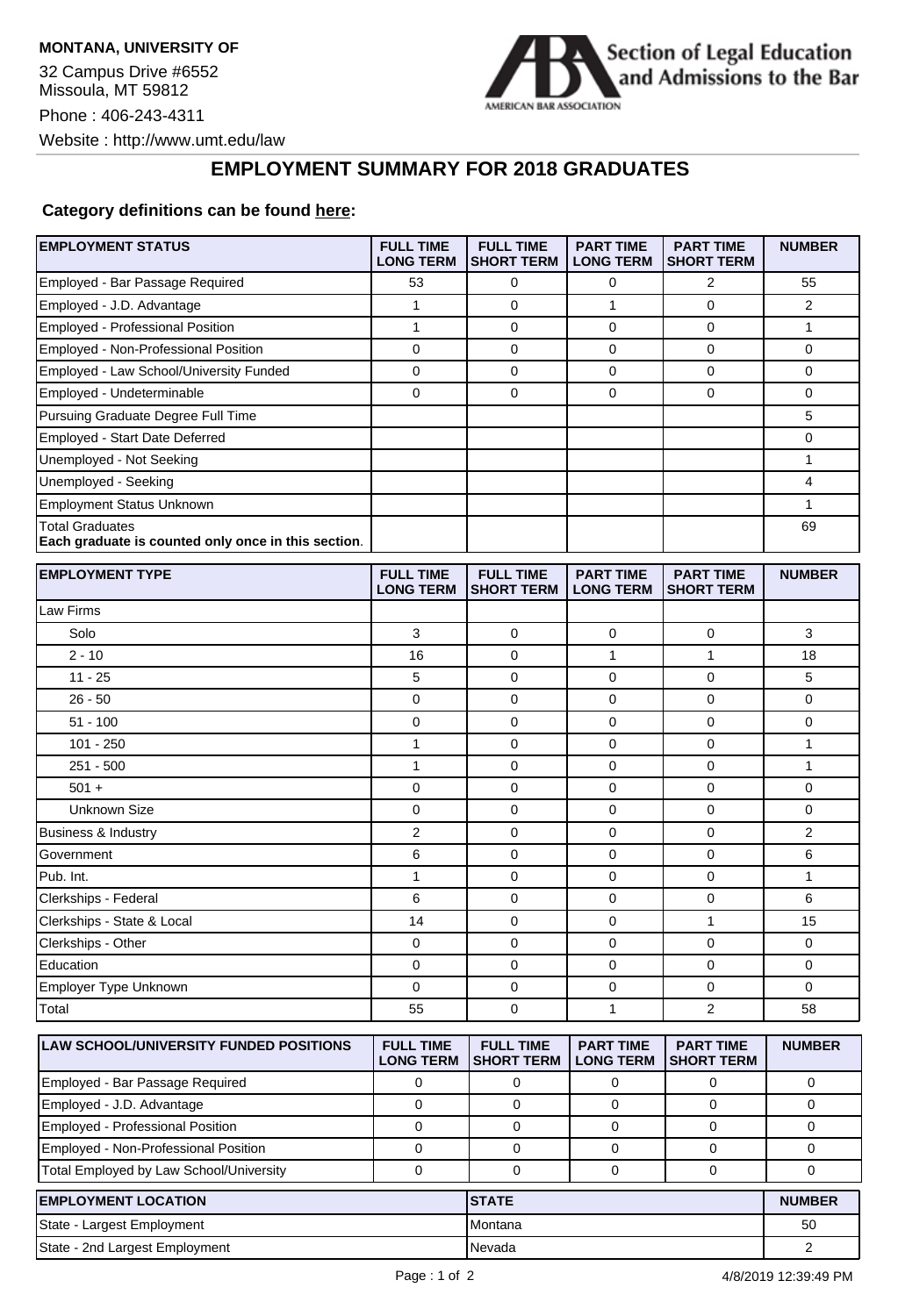**MONTANA, UNIVERSITY OF** 32 Campus Drive #6552 Missoula, MT 59812 Phone : 406-243-4311 Website : http://www.umt.edu/law



## **EMPLOYMENT SUMMARY FOR 2018 GRADUATES**

## **Category definitions can be found [here:](https://www.americanbar.org/content/dam/aba/administrative/legal_education_and_admissions_to_the_bar/2019-aba-employment-protocols-final-class-of-2018.pdf)**

| <b>EMPLOYMENT STATUS</b>                                                      | <b>FULL TIME</b><br><b>LONG TERM</b> | <b>FULL TIME</b><br><b>SHORT TERM</b> | <b>PART TIME</b><br><b>LONG TERM</b> | <b>PART TIME</b><br><b>SHORT TERM</b> | <b>NUMBER</b>  |
|-------------------------------------------------------------------------------|--------------------------------------|---------------------------------------|--------------------------------------|---------------------------------------|----------------|
| Employed - Bar Passage Required                                               | 53                                   | 0                                     | 0                                    | 2                                     | 55             |
| Employed - J.D. Advantage                                                     | $\mathbf{1}$                         | $\mathbf 0$                           | 1                                    | $\mathbf 0$                           | $\overline{2}$ |
| Employed - Professional Position                                              | $\mathbf{1}$                         | $\mathbf 0$                           | 0                                    | $\mathbf 0$                           | 1              |
| Employed - Non-Professional Position                                          | 0                                    | 0                                     | 0                                    | 0                                     | 0              |
| Employed - Law School/University Funded                                       | 0                                    | $\mathbf 0$                           | $\mathbf 0$                          | $\mathbf 0$                           | 0              |
| Employed - Undeterminable                                                     | 0                                    | $\mathbf 0$                           | 0                                    | $\mathbf 0$                           | 0              |
| Pursuing Graduate Degree Full Time                                            |                                      |                                       |                                      |                                       | 5              |
| Employed - Start Date Deferred                                                |                                      |                                       |                                      |                                       | 0              |
| Unemployed - Not Seeking                                                      |                                      |                                       |                                      |                                       | $\mathbf{1}$   |
| Unemployed - Seeking                                                          |                                      |                                       |                                      |                                       | 4              |
| Employment Status Unknown                                                     |                                      |                                       |                                      |                                       | 1              |
| <b>Total Graduates</b><br>Each graduate is counted only once in this section. |                                      |                                       |                                      |                                       | 69             |
| <b>EMPLOYMENT TYPE</b>                                                        | <b>FULL TIME</b><br><b>LONG TERM</b> | <b>FULL TIME</b><br><b>SHORT TERM</b> | <b>PART TIME</b><br><b>LONG TERM</b> | <b>PART TIME</b><br><b>SHORT TERM</b> | <b>NUMBER</b>  |
| Law Firms                                                                     |                                      |                                       |                                      |                                       |                |
| Solo                                                                          | 3                                    | $\mathbf 0$                           | 0                                    | 0                                     | 3              |
| $2 - 10$                                                                      | 16                                   | 0                                     | 1                                    | $\mathbf{1}$                          | 18             |
| $11 - 25$                                                                     | 5                                    | 0                                     | 0                                    | 0                                     | 5              |
| $26 - 50$                                                                     | 0                                    | $\mathbf 0$                           | 0                                    | 0                                     | 0              |
| $51 - 100$                                                                    | 0                                    | 0                                     | 0                                    | 0                                     | 0              |
| $101 - 250$                                                                   | $\mathbf{1}$                         | $\mathbf 0$                           | 0                                    | 0                                     | 1              |
| $251 - 500$                                                                   | 1                                    | $\mathbf 0$                           | 0                                    | $\mathbf 0$                           | 1              |
| $501 +$                                                                       | 0                                    | $\mathbf 0$                           | 0                                    | $\mathbf 0$                           | 0              |
| Unknown Size                                                                  | 0                                    | $\mathbf 0$                           | $\mathbf 0$                          | $\mathbf 0$                           | 0              |
| <b>Business &amp; Industry</b>                                                | $\overline{2}$                       | 0                                     | 0                                    | 0                                     | $\overline{2}$ |
| Government                                                                    | 6                                    | 0                                     | 0                                    | $\mathbf 0$                           | 6              |
| Pub. Int.                                                                     | $\mathbf{1}$                         | $\mathbf 0$                           | 0                                    | $\mathbf 0$                           | 1              |
| Clerkships - Federal                                                          | 6                                    | $\mathbf 0$                           | 0                                    | 0                                     | 6              |
| Clerkships - State & Local                                                    | 14                                   | 0                                     | 0                                    | 1                                     | 15             |
| Clerkships - Other                                                            | 0                                    | 0                                     | 0                                    | $\mathbf 0$                           | 0              |
| Education                                                                     | 0                                    | 0                                     | 0                                    | 0                                     | 0              |
| Employer Type Unknown                                                         | 0                                    | 0                                     | 0                                    | 0                                     | 0              |
| Total                                                                         | 55                                   | $\mathbf 0$                           | $\mathbf{1}$                         | $\overline{2}$                        | 58             |
| <b>LAW SCHOOL/UNIVERSITY FUNDED POSITIONS</b>                                 | <b>FULL TIME</b><br><b>LONG TERM</b> | <b>FULL TIME</b><br><b>SHORT TERM</b> | <b>PART TIME</b><br><b>LONG TERM</b> | <b>PART TIME</b><br><b>SHORT TERM</b> | <b>NUMBER</b>  |
| Employed - Bar Passage Required                                               | 0                                    | 0                                     | 0                                    | 0                                     | 0              |
| Employed - J.D. Advantage                                                     | $\mathbf 0$                          | $\mathbf 0$                           | $\mathbf 0$                          | $\mathbf 0$                           | 0              |
| Employed - Professional Position                                              | 0                                    | 0                                     | 0                                    | 0                                     | 0              |
| Employed - Non-Professional Position                                          | $\mathbf 0$                          | 0                                     | 0                                    | 0                                     | 0              |
| Total Employed by Law School/University                                       | $\pmb{0}$                            | $\mathbf 0$                           | 0                                    | 0                                     | 0              |
| <b>EMPLOYMENT LOCATION</b>                                                    |                                      | <b>STATE</b>                          |                                      |                                       | <b>NUMBER</b>  |
| State - Largest Employment                                                    |                                      | Montana                               |                                      | 50                                    |                |
| State - 2nd Largest Employment                                                |                                      | Nevada                                |                                      | $\overline{2}$                        |                |